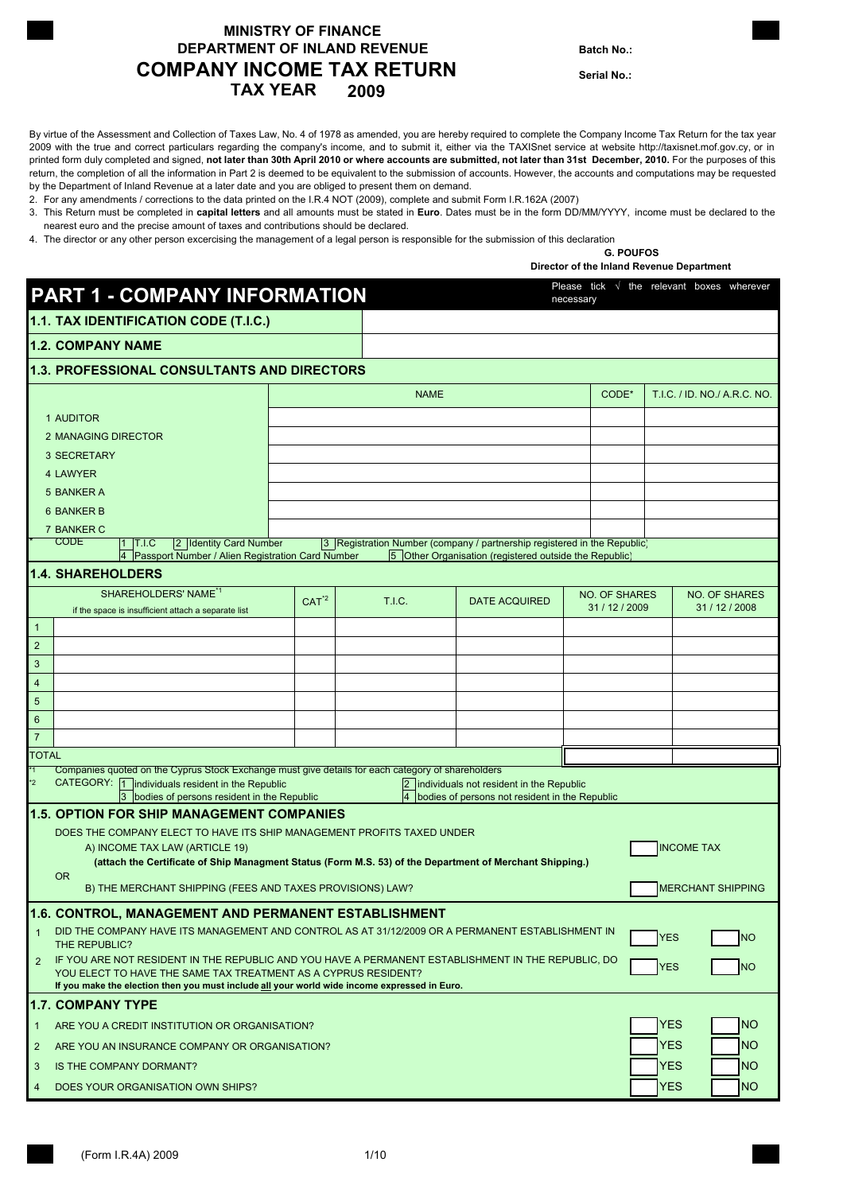### **MINISTRY OF FINANCE DEPARTMENT OF INLAND REVENUE Batch No.: TAX YEAR COMPANY INCOME TAX RETURN 2009**

**Serial No.:**

By virtue of the Assessment and Collection of Taxes Law, No. 4 of 1978 as amended, you are hereby required to complete the Company Income Tax Return for the tax year 2009 with the true and correct particulars regarding the company's income, and to submit it, either via the TAXISnet service at website http://taxisnet.mof.gov.cy, or in printed form duly completed and signed, **not later than 30th April 2010 or where accounts are submitted, not later than 31st December, 2010.** For the purposes of this return, the completion of all the information in Part 2 is deemed to be equivalent to the submission of accounts. However, the accounts and computations may be requested by the Department of Inland Revenue at a later date and you are obliged to present them on demand.

2. For any amendments / corrections to the data printed on the I.R.4 NOT (2009), complete and submit Form I.R.162A (2007)

3. This Return must be completed in **capital letters** and all amounts must be stated in **Euro**. Dates must be in the form DD/MM/YYYY, income must be declared to the nearest euro and the precise amount of taxes and contributions should be declared.

4. The director or any other person excercising the management of a legal person is responsible for the submission of this declaration

#### **G. POUFOS Director of the Inland Revenue Department**

| 1.1. TAX IDENTIFICATION CODE (T.I.C.)<br><b>1.2. COMPANY NAME</b><br><b>1.3. PROFESSIONAL CONSULTANTS AND DIRECTORS</b>                                                                                                                  |                                        |
|------------------------------------------------------------------------------------------------------------------------------------------------------------------------------------------------------------------------------------------|----------------------------------------|
|                                                                                                                                                                                                                                          |                                        |
|                                                                                                                                                                                                                                          |                                        |
|                                                                                                                                                                                                                                          |                                        |
| CODE*<br><b>NAME</b>                                                                                                                                                                                                                     | T.I.C. / ID. NO./ A.R.C. NO.           |
| 1 AUDITOR                                                                                                                                                                                                                                |                                        |
| <b>2 MANAGING DIRECTOR</b>                                                                                                                                                                                                               |                                        |
| 3 SECRETARY                                                                                                                                                                                                                              |                                        |
| 4 LAWYER                                                                                                                                                                                                                                 |                                        |
| 5 BANKER A                                                                                                                                                                                                                               |                                        |
| <b>6 BANKER B</b>                                                                                                                                                                                                                        |                                        |
| 7 BANKER C<br><b>CODE</b><br>2 Identity Card Number<br>3 Registration Number (company / partnership registered in the Republic)<br>1 T.I.C                                                                                               |                                        |
| 4   Passport Number / Alien Registration Card Number<br>5 Other Organisation (registered outside the Republic)                                                                                                                           |                                        |
| <b>1.4. SHAREHOLDERS</b>                                                                                                                                                                                                                 |                                        |
| SHAREHOLDERS' NAME <sup>*1</sup><br><b>NO. OF SHARES</b><br>CAT <sup>2</sup><br>T.I.C.<br><b>DATE ACQUIRED</b><br>31 / 12 / 2009<br>if the space is insufficient attach a separate list                                                  | <b>NO. OF SHARES</b><br>31 / 12 / 2008 |
| $\mathbf{1}$                                                                                                                                                                                                                             |                                        |
| $\overline{2}$                                                                                                                                                                                                                           |                                        |
| $\sqrt{3}$                                                                                                                                                                                                                               |                                        |
| $\overline{\mathbf{4}}$                                                                                                                                                                                                                  |                                        |
| $\sqrt{5}$                                                                                                                                                                                                                               |                                        |
| $\boldsymbol{6}$                                                                                                                                                                                                                         |                                        |
| $\overline{7}$<br><b>TOTAL</b>                                                                                                                                                                                                           |                                        |
| Companies quoted on the Cyprus Stock Exchange must give details for each category of shareholders<br>*1                                                                                                                                  |                                        |
| CATEGORY: 1 individuals resident in the Republic<br>$^*2$<br>$ 2\rangle$<br>individuals not resident in the Republic<br>3 bodies of persons resident in the Republic<br>$\overline{4}$<br>bodies of persons not resident in the Republic |                                        |
| <b>1.5. OPTION FOR SHIP MANAGEMENT COMPANIES</b>                                                                                                                                                                                         |                                        |
| DOES THE COMPANY ELECT TO HAVE ITS SHIP MANAGEMENT PROFITS TAXED UNDER<br>A) INCOME TAX LAW (ARTICLE 19)                                                                                                                                 | <b>INCOME TAX</b>                      |
| (attach the Certificate of Ship Managment Status (Form M.S. 53) of the Department of Merchant Shipping.)                                                                                                                                 |                                        |
| <b>OR</b><br>B) THE MERCHANT SHIPPING (FEES AND TAXES PROVISIONS) LAW?                                                                                                                                                                   | <b>MERCHANT SHIPPING</b>               |
|                                                                                                                                                                                                                                          |                                        |
| 1.6. CONTROL. MANAGEMENT AND PERMANENT ESTABLISHMENT<br>DID THE COMPANY HAVE ITS MANAGEMENT AND CONTROL AS AT 31/12/2009 OR A PERMANENT ESTABLISHMENT IN                                                                                 |                                        |
| $\mathbf{1}$<br>THE REPUBLIC?                                                                                                                                                                                                            | <b>YES</b><br><b>NO</b>                |
| IF YOU ARE NOT RESIDENT IN THE REPUBLIC AND YOU HAVE A PERMANENT ESTABLISHMENT IN THE REPUBLIC, DO<br>2<br>YOU ELECT TO HAVE THE SAME TAX TREATMENT AS A CYPRUS RESIDENT?                                                                | <b>YES</b><br><b>NO</b>                |
| If you make the election then you must include all your world wide income expressed in Euro.                                                                                                                                             |                                        |
| <b>1.7. COMPANY TYPE</b>                                                                                                                                                                                                                 |                                        |
| ARE YOU A CREDIT INSTITUTION OR ORGANISATION?<br>$\mathbf{1}$                                                                                                                                                                            | <b>NO</b><br><b>YES</b>                |
| $\overline{2}$<br>ARE YOU AN INSURANCE COMPANY OR ORGANISATION?                                                                                                                                                                          | <b>YES</b><br><b>NO</b>                |
| 3<br>IS THE COMPANY DORMANT?                                                                                                                                                                                                             | <b>YES</b><br><b>NO</b>                |
| DOES YOUR ORGANISATION OWN SHIPS?<br>4                                                                                                                                                                                                   | <b>YES</b><br><b>NO</b>                |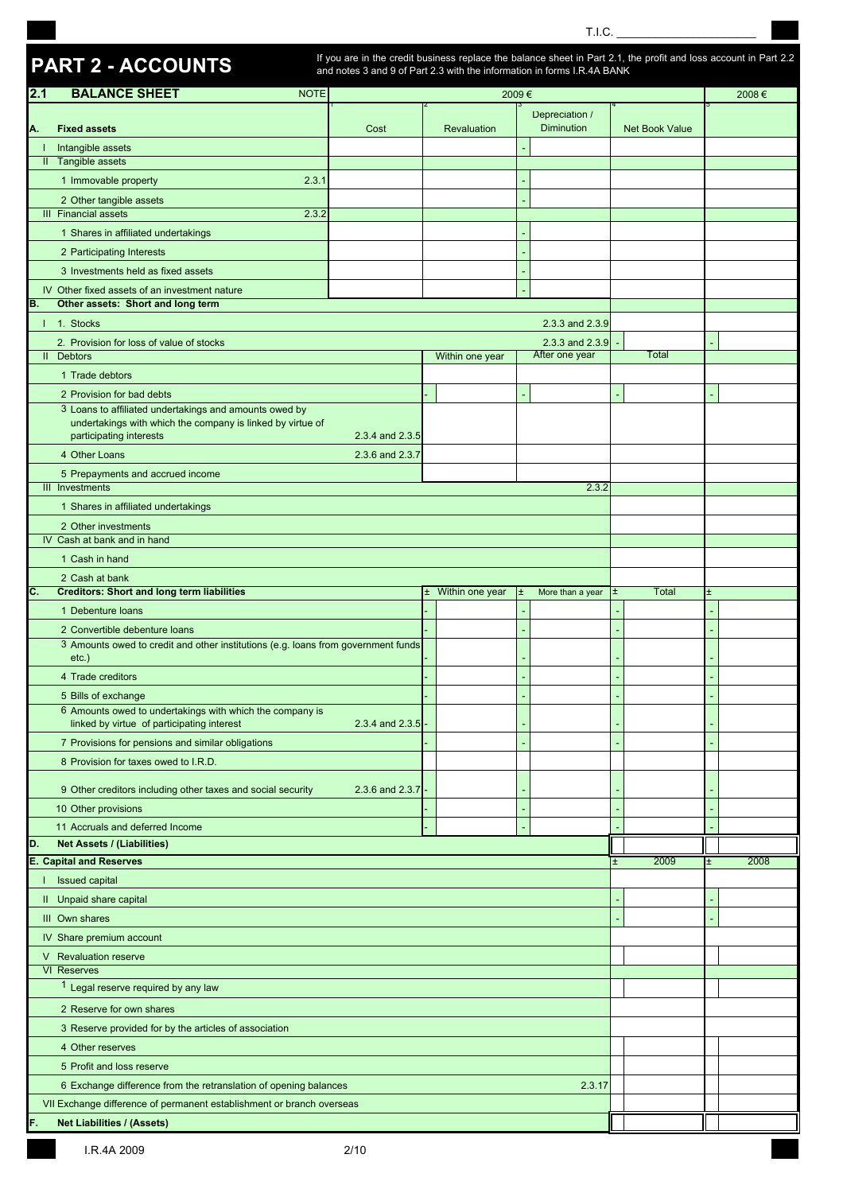T.I.C. \_\_\_\_\_\_\_\_\_\_\_\_\_\_\_\_\_\_\_\_\_\_

# **PART 2 - ACCOUNTS**

If you are in the credit business replace the balance sheet in Part 2.1, the profit and loss account in Part 2.2 and notes 3 and 9 of Part 2.3 with the information in forms I.R.4A BANK

| 2.1<br><b>BALANCE SHEET</b><br><b>NOTE</b><br>2009€                                                                        | 2008€     |
|----------------------------------------------------------------------------------------------------------------------------|-----------|
| Depreciation /<br><b>Diminution</b><br><b>Fixed assets</b><br>Cost<br>Net Book Value<br>Revaluation                        |           |
| Α.<br>Intangible assets<br>т.                                                                                              |           |
| Tangible assets<br>$\mathbf{II}$                                                                                           |           |
| 1 Immovable property<br>2.3.1                                                                                              |           |
| 2 Other tangible assets                                                                                                    |           |
| <b>III</b> Financial assets<br>2.3.2                                                                                       |           |
| 1 Shares in affiliated undertakings                                                                                        |           |
| 2 Participating Interests                                                                                                  |           |
| 3 Investments held as fixed assets                                                                                         |           |
| IV Other fixed assets of an investment nature<br>Other assets: Short and long term<br>В.                                   |           |
| 1. Stocks<br>2.3.3 and 2.3.9                                                                                               |           |
| 2.3.3 and 2.3.9<br>2. Provision for loss of value of stocks                                                                |           |
| After one year<br>II Debtors<br>Total<br>Within one year                                                                   |           |
| 1 Trade debtors                                                                                                            |           |
| 2 Provision for bad debts<br>3 Loans to affiliated undertakings and amounts owed by                                        |           |
| undertakings with which the company is linked by virtue of                                                                 |           |
| participating interests<br>2.3.4 and 2.3.5                                                                                 |           |
| 4 Other Loans<br>2.3.6 and 2.3.7                                                                                           |           |
| 5 Prepayments and accrued income<br>III Investments<br>2.3.2                                                               |           |
| 1 Shares in affiliated undertakings                                                                                        |           |
| 2 Other investments                                                                                                        |           |
| IV Cash at bank and in hand                                                                                                |           |
| 1 Cash in hand                                                                                                             |           |
| 2 Cash at bank                                                                                                             |           |
| <b>Creditors: Short and long term liabilities</b><br><b>Total</b><br>C.<br>± Within one year<br>More than a year<br>Ŧ<br>土 | $\pm$     |
| 1 Debenture loans<br>2 Convertible debenture loans                                                                         |           |
| 3 Amounts owed to credit and other institutions (e.g. loans from government funds                                          |           |
| $etc.$ )                                                                                                                   |           |
| 4 Trade creditors                                                                                                          |           |
| 5 Bills of exchange<br>6 Amounts owed to undertakings with which the company is                                            |           |
| 2.3.4 and 2.3.5<br>linked by virtue of participating interest                                                              |           |
| 7 Provisions for pensions and similar obligations                                                                          |           |
| 8 Provision for taxes owed to I.R.D.                                                                                       |           |
| 9 Other creditors including other taxes and social security<br>2.3.6 and 2.3.7                                             |           |
| 10 Other provisions                                                                                                        |           |
| 11 Accruals and deferred Income                                                                                            |           |
| <b>Net Assets / (Liabilities)</b><br>D.                                                                                    |           |
| <b>E. Capital and Reserves</b><br>2009                                                                                     | 2008<br>Ŧ |
| Issued capital                                                                                                             |           |
| II Unpaid share capital                                                                                                    |           |
| III Own shares                                                                                                             |           |
| IV Share premium account                                                                                                   |           |
| V Revaluation reserve<br><b>VI Reserves</b>                                                                                |           |
| <sup>1</sup> Legal reserve required by any law                                                                             |           |
| 2 Reserve for own shares                                                                                                   |           |
| 3 Reserve provided for by the articles of association                                                                      |           |
| 4 Other reserves                                                                                                           |           |
| 5 Profit and loss reserve                                                                                                  |           |
| 6 Exchange difference from the retranslation of opening balances<br>2.3.17                                                 |           |
| VII Exchange difference of permanent establishment or branch overseas                                                      |           |
|                                                                                                                            |           |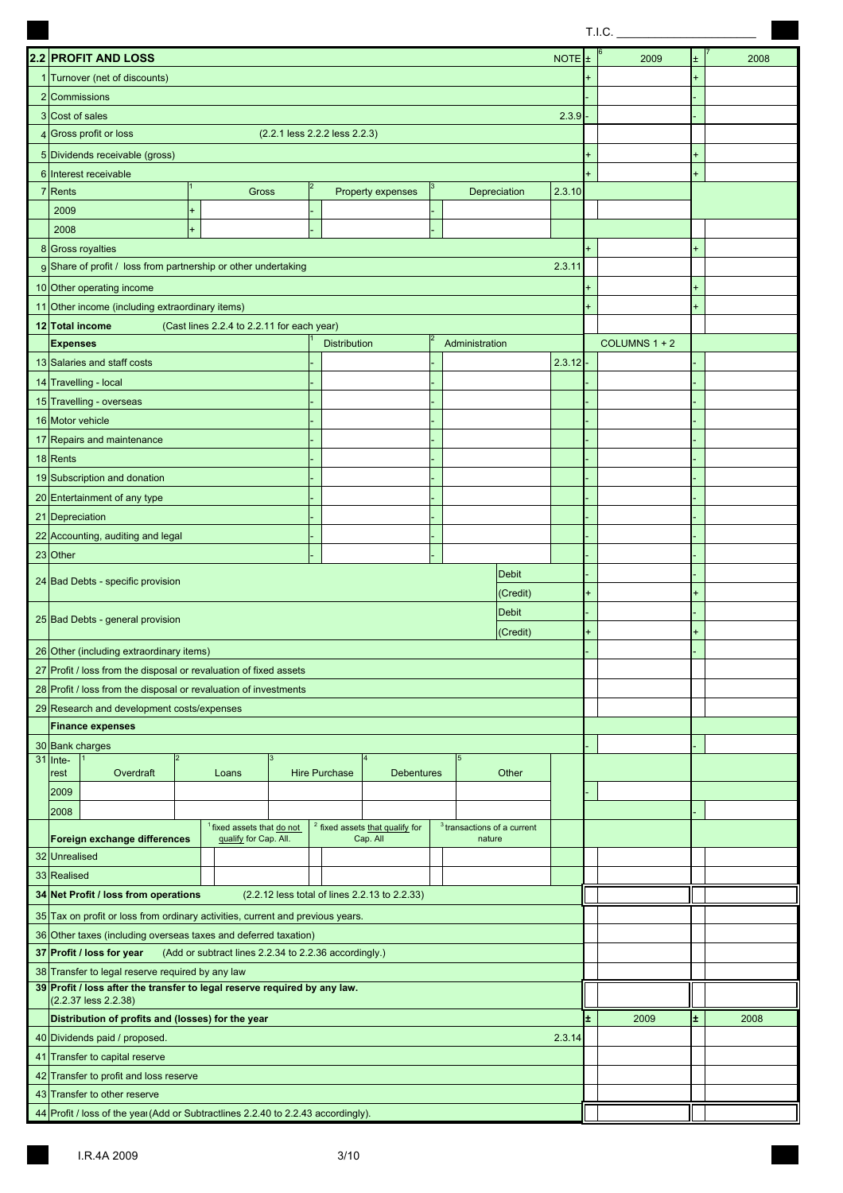|                                                                                              |                                                       |                |                     |                                               |  |                               |             |           | T.I.C.        |   |      |
|----------------------------------------------------------------------------------------------|-------------------------------------------------------|----------------|---------------------|-----------------------------------------------|--|-------------------------------|-------------|-----------|---------------|---|------|
| 2.2 PROFIT AND LOSS                                                                          |                                                       |                |                     |                                               |  |                               |             | $\pm$     | 2009          |   | 2008 |
| 1 Turnover (net of discounts)                                                                |                                                       |                |                     |                                               |  |                               | <b>NOTE</b> |           |               |   |      |
| 2 Commissions                                                                                |                                                       |                |                     |                                               |  |                               |             |           |               |   |      |
| 3 Cost of sales                                                                              |                                                       |                |                     |                                               |  |                               | 2.3.9       |           |               |   |      |
| 4 Gross profit or loss                                                                       | (2.2.1 less 2.2.2 less 2.2.3)                         |                |                     |                                               |  |                               |             |           |               |   |      |
| 5 Dividends receivable (gross)                                                               |                                                       |                |                     |                                               |  |                               |             |           |               |   |      |
| 6 Interest receivable                                                                        |                                                       |                |                     |                                               |  |                               |             |           |               |   |      |
| 7 Rents                                                                                      | Gross                                                 | $\overline{2}$ |                     | Property expenses                             |  | Depreciation                  | 2.3.10      |           |               |   |      |
| 2009                                                                                         | $\ddot{}$                                             |                |                     |                                               |  |                               |             |           |               |   |      |
| 2008                                                                                         | $+$                                                   |                |                     |                                               |  |                               |             |           |               |   |      |
| 8 Gross royalties                                                                            |                                                       |                |                     |                                               |  |                               |             |           |               |   |      |
| 9 Share of profit / loss from partnership or other undertaking                               |                                                       |                |                     |                                               |  |                               | 2.3.11      |           |               |   |      |
| 10 Other operating income                                                                    |                                                       |                |                     |                                               |  |                               |             |           |               |   |      |
| 11 Other income (including extraordinary items)                                              |                                                       |                |                     |                                               |  |                               |             |           |               |   |      |
| 12 Total income                                                                              | (Cast lines 2.2.4 to 2.2.11 for each year)            |                |                     |                                               |  |                               |             |           |               |   |      |
| <b>Expenses</b>                                                                              |                                                       |                | <b>Distribution</b> |                                               |  | Administration                |             |           | COLUMNS 1 + 2 |   |      |
| 13 Salaries and staff costs                                                                  |                                                       |                |                     |                                               |  |                               | 2.3.12      |           |               |   |      |
| 14 Travelling - local                                                                        |                                                       |                |                     |                                               |  |                               |             |           |               |   |      |
| 15 Travelling - overseas                                                                     |                                                       |                |                     |                                               |  |                               |             |           |               |   |      |
| 16 Motor vehicle                                                                             |                                                       |                |                     |                                               |  |                               |             |           |               |   |      |
| 17 Repairs and maintenance                                                                   |                                                       |                |                     |                                               |  |                               |             |           |               |   |      |
| 18 Rents                                                                                     |                                                       |                |                     |                                               |  |                               |             |           |               |   |      |
| 19 Subscription and donation                                                                 |                                                       |                |                     |                                               |  |                               |             |           |               |   |      |
| 20 Entertainment of any type                                                                 |                                                       |                |                     |                                               |  |                               |             |           |               |   |      |
| 21 Depreciation                                                                              |                                                       |                |                     |                                               |  |                               |             |           |               |   |      |
| 22 Accounting, auditing and legal                                                            |                                                       |                |                     |                                               |  |                               |             |           |               |   |      |
| 23 Other                                                                                     |                                                       |                |                     |                                               |  |                               |             |           |               |   |      |
|                                                                                              |                                                       |                |                     |                                               |  | <b>Debit</b>                  |             |           |               |   |      |
| 24 Bad Debts - specific provision                                                            |                                                       |                |                     |                                               |  | (Credit)                      |             | $\ddot{}$ |               |   |      |
| 25 Bad Debts - general provision                                                             |                                                       |                |                     |                                               |  | <b>Debit</b>                  |             |           |               |   |      |
|                                                                                              |                                                       |                |                     |                                               |  | (Credit)                      |             |           |               |   |      |
| 26 Other (including extraordinary items)                                                     |                                                       |                |                     |                                               |  |                               |             |           |               |   |      |
| 27 Profit / loss from the disposal or revaluation of fixed assets                            |                                                       |                |                     |                                               |  |                               |             |           |               |   |      |
| 28 Profit / loss from the disposal or revaluation of investments                             |                                                       |                |                     |                                               |  |                               |             |           |               |   |      |
| 29 Research and development costs/expenses                                                   |                                                       |                |                     |                                               |  |                               |             |           |               |   |      |
| <b>Finance expenses</b>                                                                      |                                                       |                |                     |                                               |  |                               |             |           |               |   |      |
| 30 Bank charges<br>$\overline{2}$                                                            |                                                       |                |                     |                                               |  | 5                             |             |           |               |   |      |
| $31$ Inte-<br>Overdraft<br>rest                                                              | Loans                                                 |                | Hire Purchase       | <b>Debentures</b>                             |  | Other                         |             |           |               |   |      |
| 2009                                                                                         |                                                       |                |                     |                                               |  |                               |             |           |               |   |      |
| 2008                                                                                         |                                                       |                |                     |                                               |  |                               |             |           |               |   |      |
|                                                                                              | <sup>1</sup> fixed assets that do not                 |                |                     | $2$ fixed assets that qualify for             |  | $3$ transactions of a current |             |           |               |   |      |
| Foreign exchange differences<br>32 Unrealised                                                | qualify for Cap. All.                                 |                |                     | Cap. All                                      |  | nature                        |             |           |               |   |      |
| 33 Realised                                                                                  |                                                       |                |                     |                                               |  |                               |             |           |               |   |      |
| 34 Net Profit / loss from operations                                                         |                                                       |                |                     | (2.2.12 less total of lines 2.2.13 to 2.2.33) |  |                               |             |           |               |   |      |
|                                                                                              |                                                       |                |                     |                                               |  |                               |             |           |               |   |      |
| 35 Tax on profit or loss from ordinary activities, current and previous years.               |                                                       |                |                     |                                               |  |                               |             |           |               |   |      |
| 36 Other taxes (including overseas taxes and deferred taxation)<br>37 Profit / loss for year | (Add or subtract lines 2.2.34 to 2.2.36 accordingly.) |                |                     |                                               |  |                               |             |           |               |   |      |
| 38 Transfer to legal reserve required by any law                                             |                                                       |                |                     |                                               |  |                               |             |           |               |   |      |
| 39 Profit / loss after the transfer to legal reserve required by any law.                    |                                                       |                |                     |                                               |  |                               |             |           |               |   |      |
| (2.2.37 less 2.2.38)                                                                         |                                                       |                |                     |                                               |  |                               |             |           |               |   |      |
| Distribution of profits and (losses) for the year                                            |                                                       |                |                     |                                               |  |                               |             | Ŧ.        | 2009          | Ŧ | 2008 |
| 40 Dividends paid / proposed.                                                                |                                                       |                |                     |                                               |  |                               | 2.3.14      |           |               |   |      |
| 41 Transfer to capital reserve                                                               |                                                       |                |                     |                                               |  |                               |             |           |               |   |      |
| 42 Transfer to profit and loss reserve                                                       |                                                       |                |                     |                                               |  |                               |             |           |               |   |      |
| 43 Transfer to other reserve                                                                 |                                                       |                |                     |                                               |  |                               |             |           |               |   |      |
| 44 Profit / loss of the year (Add or Subtractlines 2.2.40 to 2.2.43 accordingly).            |                                                       |                |                     |                                               |  |                               |             |           |               |   |      |

**The State**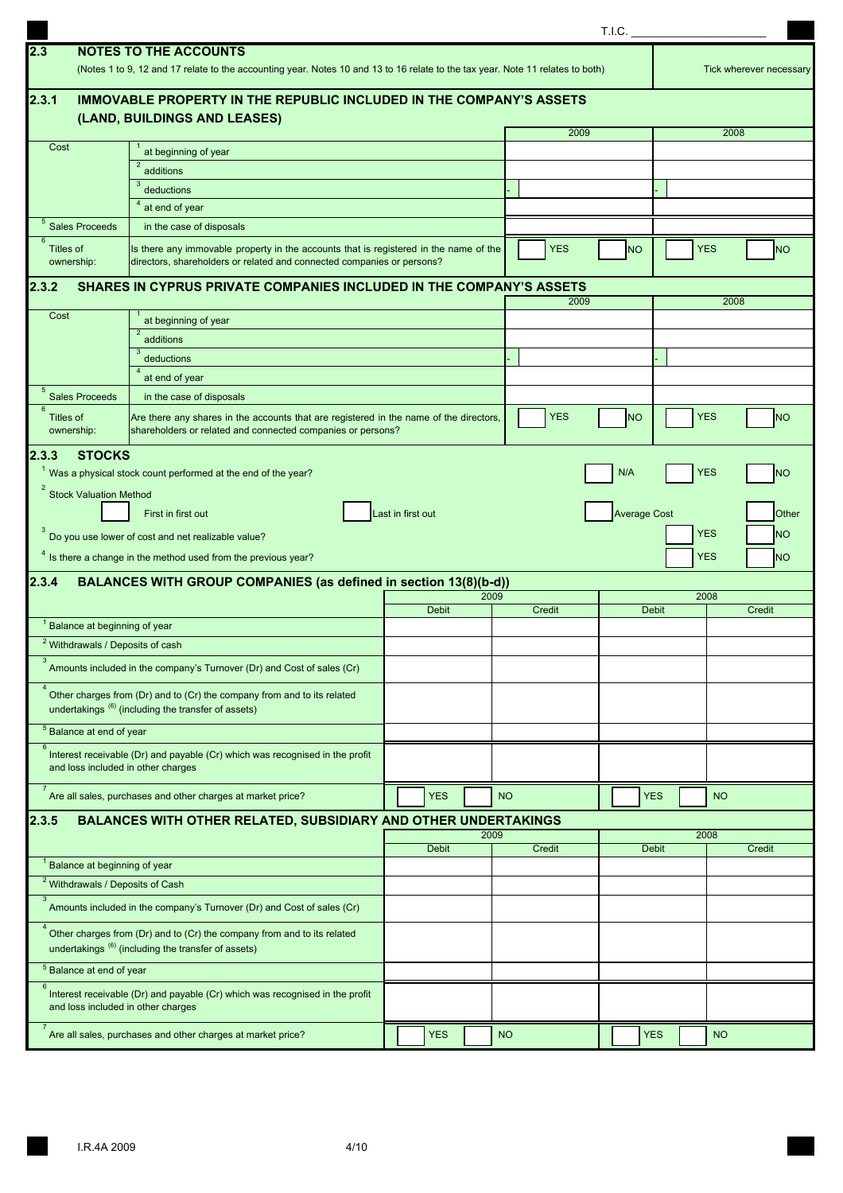|                                             |                                                                                                                                                                                                                           |                   |              |      |           |            | T.I.C.              |              |                          |                          |
|---------------------------------------------|---------------------------------------------------------------------------------------------------------------------------------------------------------------------------------------------------------------------------|-------------------|--------------|------|-----------|------------|---------------------|--------------|--------------------------|--------------------------|
| 2.3                                         | <b>NOTES TO THE ACCOUNTS</b><br>(Notes 1 to 9, 12 and 17 relate to the accounting year. Notes 10 and 13 to 16 relate to the tax year. Note 11 relates to both)                                                            |                   |              |      |           |            |                     |              |                          | Tick wherever necessary  |
| 2.3.1                                       | IMMOVABLE PROPERTY IN THE REPUBLIC INCLUDED IN THE COMPANY'S ASSETS                                                                                                                                                       |                   |              |      |           |            |                     |              |                          |                          |
|                                             | (LAND, BUILDINGS AND LEASES)                                                                                                                                                                                              |                   |              |      |           |            |                     |              |                          |                          |
|                                             |                                                                                                                                                                                                                           |                   |              |      |           | 2009       |                     |              | 2008                     |                          |
| Cost                                        | at beginning of year                                                                                                                                                                                                      |                   |              |      |           |            |                     |              |                          |                          |
|                                             | $\overline{2}$<br>additions                                                                                                                                                                                               |                   |              |      |           |            |                     |              |                          |                          |
|                                             | 3<br>deductions                                                                                                                                                                                                           |                   |              |      |           |            |                     |              |                          |                          |
|                                             | at end of year                                                                                                                                                                                                            |                   |              |      |           |            |                     |              |                          |                          |
| <sup>5</sup> Sales Proceeds<br>6            | in the case of disposals                                                                                                                                                                                                  |                   |              |      |           |            |                     |              |                          |                          |
| Titles of<br>ownership:                     | Is there any immovable property in the accounts that is registered in the name of the<br>directors, shareholders or related and connected companies or persons?                                                           |                   |              |      |           | <b>YES</b> | <b>NO</b>           |              | <b>YES</b>               | <b>NO</b>                |
| 2.3.2                                       | SHARES IN CYPRUS PRIVATE COMPANIES INCLUDED IN THE COMPANY'S ASSETS                                                                                                                                                       |                   |              |      |           | 2009       |                     |              | 2008                     |                          |
| Cost                                        | at beginning of year                                                                                                                                                                                                      |                   |              |      |           |            |                     |              |                          |                          |
|                                             | $\overline{2}$<br>additions                                                                                                                                                                                               |                   |              |      |           |            |                     |              |                          |                          |
|                                             | 3<br>deductions                                                                                                                                                                                                           |                   |              |      |           |            |                     |              |                          |                          |
|                                             | at end of year                                                                                                                                                                                                            |                   |              |      |           |            |                     |              |                          |                          |
| 5<br><b>Sales Proceeds</b>                  | in the case of disposals                                                                                                                                                                                                  |                   |              |      |           |            |                     |              |                          |                          |
| $6\overline{6}$<br>Titles of<br>ownership:  | Are there any shares in the accounts that are registered in the name of the directors,<br>shareholders or related and connected companies or persons?                                                                     |                   |              |      |           | <b>YES</b> | <b>NO</b>           |              | <b>YES</b>               | <b>NO</b>                |
| <b>Stock Valuation Method</b><br>2.3.4      | First in first out<br>Do you use lower of cost and net realizable value?<br><sup>4</sup> Is there a change in the method used from the previous year?<br>BALANCES WITH GROUP COMPANIES (as defined in section 13(8)(b-d)) | Last in first out |              |      |           |            | <b>Average Cost</b> |              | <b>YES</b><br><b>YES</b> | Other<br><b>NO</b><br>NΟ |
|                                             |                                                                                                                                                                                                                           |                   |              | 2009 |           |            |                     |              | 2008                     |                          |
|                                             |                                                                                                                                                                                                                           |                   | <b>Debit</b> |      |           | Credit     |                     | <b>Debit</b> |                          | Credit                   |
| <sup>1</sup> Balance at beginning of year   |                                                                                                                                                                                                                           |                   |              |      |           |            |                     |              |                          |                          |
| <sup>2</sup> Withdrawals / Deposits of cash |                                                                                                                                                                                                                           |                   |              |      |           |            |                     |              |                          |                          |
|                                             | Amounts included in the company's Turnover (Dr) and Cost of sales (Cr)                                                                                                                                                    |                   |              |      |           |            |                     |              |                          |                          |
|                                             | Other charges from (Dr) and to (Cr) the company from and to its related<br>undertakings (6) (including the transfer of assets)                                                                                            |                   |              |      |           |            |                     |              |                          |                          |
| <sup>5</sup> Balance at end of year         |                                                                                                                                                                                                                           |                   |              |      |           |            |                     |              |                          |                          |
| 6                                           | Interest receivable (Dr) and payable (Cr) which was recognised in the profit<br>and loss included in other charges                                                                                                        |                   |              |      |           |            |                     |              |                          |                          |
| $\overline{7}$                              | Are all sales, purchases and other charges at market price?                                                                                                                                                               |                   | <b>YES</b>   |      | <b>NO</b> |            |                     | <b>YES</b>   | <b>NO</b>                |                          |
| 2.3.5                                       | <b>BALANCES WITH OTHER RELATED, SUBSIDIARY AND OTHER UNDERTAKINGS</b>                                                                                                                                                     |                   |              |      |           |            |                     |              |                          |                          |
|                                             |                                                                                                                                                                                                                           |                   | <b>Debit</b> | 2009 |           | Credit     |                     | <b>Debit</b> | 2008                     | Credit                   |
| <sup>1</sup> Balance at beginning of year   |                                                                                                                                                                                                                           |                   |              |      |           |            |                     |              |                          |                          |
| <sup>2</sup> Withdrawals / Deposits of Cash |                                                                                                                                                                                                                           |                   |              |      |           |            |                     |              |                          |                          |
| $\mathbf{3}$                                | Amounts included in the company's Turnover (Dr) and Cost of sales (Cr)                                                                                                                                                    |                   |              |      |           |            |                     |              |                          |                          |
|                                             | Other charges from (Dr) and to (Cr) the company from and to its related<br>undertakings (6) (including the transfer of assets)                                                                                            |                   |              |      |           |            |                     |              |                          |                          |
| <sup>5</sup> Balance at end of year         |                                                                                                                                                                                                                           |                   |              |      |           |            |                     |              |                          |                          |
| 6                                           | Interest receivable (Dr) and payable (Cr) which was recognised in the profit<br>and loss included in other charges                                                                                                        |                   |              |      |           |            |                     |              |                          |                          |
|                                             | Are all sales, purchases and other charges at market price?                                                                                                                                                               |                   | <b>YES</b>   |      | <b>NO</b> |            |                     | <b>YES</b>   | <b>NO</b>                |                          |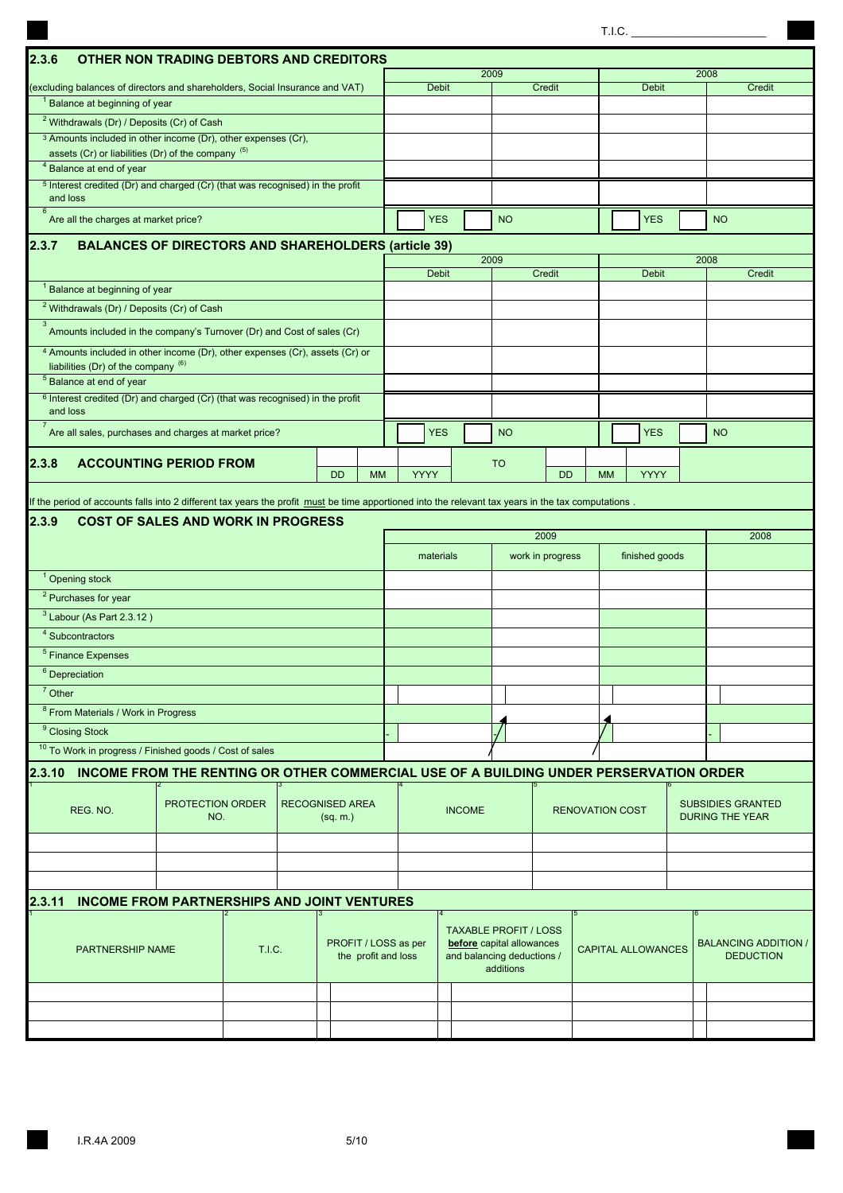|                                                                                                                                                     |                         |               |                                    |                      |             |              |               |                                                           |                  |                        | T.I.C.                    |      |                                                    |
|-----------------------------------------------------------------------------------------------------------------------------------------------------|-------------------------|---------------|------------------------------------|----------------------|-------------|--------------|---------------|-----------------------------------------------------------|------------------|------------------------|---------------------------|------|----------------------------------------------------|
| 2.3.6<br><b>OTHER NON TRADING DEBTORS AND CREDITORS</b>                                                                                             |                         |               |                                    |                      |             |              |               |                                                           |                  |                        |                           |      |                                                    |
|                                                                                                                                                     |                         |               |                                    |                      |             |              |               | 2009                                                      |                  |                        |                           | 2008 |                                                    |
| (excluding balances of directors and shareholders, Social Insurance and VAT)                                                                        |                         |               |                                    |                      |             | <b>Debit</b> |               |                                                           | Credit           |                        | <b>Debit</b>              |      | Credit                                             |
| <sup>1</sup> Balance at beginning of year                                                                                                           |                         |               |                                    |                      |             |              |               |                                                           |                  |                        |                           |      |                                                    |
| <sup>2</sup> Withdrawals (Dr) / Deposits (Cr) of Cash<br><sup>3</sup> Amounts included in other income (Dr), other expenses (Cr),                   |                         |               |                                    |                      |             |              |               |                                                           |                  |                        |                           |      |                                                    |
| assets (Cr) or liabilities (Dr) of the company (5)                                                                                                  |                         |               |                                    |                      |             |              |               |                                                           |                  |                        |                           |      |                                                    |
| <sup>4</sup> Balance at end of year                                                                                                                 |                         |               |                                    |                      |             |              |               |                                                           |                  |                        |                           |      |                                                    |
| <sup>5</sup> Interest credited (Dr) and charged (Cr) (that was recognised) in the profit<br>and loss                                                |                         |               |                                    |                      |             |              |               |                                                           |                  |                        |                           |      |                                                    |
| 6<br>Are all the charges at market price?                                                                                                           |                         |               |                                    |                      |             | <b>YES</b>   |               | <b>NO</b>                                                 |                  |                        | <b>YES</b>                |      | <b>NO</b>                                          |
| 2.3.7<br><b>BALANCES OF DIRECTORS AND SHAREHOLDERS (article 39)</b>                                                                                 |                         |               |                                    |                      |             |              |               |                                                           |                  |                        |                           |      |                                                    |
|                                                                                                                                                     |                         |               |                                    |                      |             | <b>Debit</b> |               | 2009                                                      | Credit           |                        | <b>Debit</b>              | 2008 | Credit                                             |
| <sup>1</sup> Balance at beginning of year                                                                                                           |                         |               |                                    |                      |             |              |               |                                                           |                  |                        |                           |      |                                                    |
| <sup>2</sup> Withdrawals (Dr) / Deposits (Cr) of Cash                                                                                               |                         |               |                                    |                      |             |              |               |                                                           |                  |                        |                           |      |                                                    |
| 3<br>Amounts included in the company's Turnover (Dr) and Cost of sales (Cr)                                                                         |                         |               |                                    |                      |             |              |               |                                                           |                  |                        |                           |      |                                                    |
| 4 Amounts included in other income (Dr), other expenses (Cr), assets (Cr) or                                                                        |                         |               |                                    |                      |             |              |               |                                                           |                  |                        |                           |      |                                                    |
| liabilities (Dr) of the company $(6)$                                                                                                               |                         |               |                                    |                      |             |              |               |                                                           |                  |                        |                           |      |                                                    |
| <sup>5</sup> Balance at end of year                                                                                                                 |                         |               |                                    |                      |             |              |               |                                                           |                  |                        |                           |      |                                                    |
| <sup>6</sup> Interest credited (Dr) and charged (Cr) (that was recognised) in the profit<br>and loss                                                |                         |               |                                    |                      |             |              |               |                                                           |                  |                        |                           |      |                                                    |
| $\overline{7}$<br>Are all sales, purchases and charges at market price?                                                                             |                         |               |                                    |                      |             | <b>YES</b>   |               | <b>NO</b>                                                 |                  |                        | <b>YES</b>                |      | <b>NO</b>                                          |
| <b>ACCOUNTING PERIOD FROM</b><br>2.3.8                                                                                                              |                         |               |                                    |                      |             |              |               | <b>TO</b>                                                 |                  |                        |                           |      |                                                    |
|                                                                                                                                                     |                         |               | <b>DD</b>                          | <b>MM</b>            | <b>YYYY</b> |              |               |                                                           | <b>DD</b>        | <b>MM</b>              | <b>YYYY</b>               |      |                                                    |
| If the period of accounts falls into 2 different tax years the profit must be time apportioned into the relevant tax years in the tax computations. |                         |               |                                    |                      |             |              |               |                                                           |                  |                        |                           |      |                                                    |
| 2.3.9<br><b>COST OF SALES AND WORK IN PROGRESS</b>                                                                                                  |                         |               |                                    |                      |             |              |               |                                                           |                  |                        |                           |      |                                                    |
|                                                                                                                                                     |                         |               |                                    |                      |             |              |               |                                                           | 2009             |                        |                           |      | 2008                                               |
|                                                                                                                                                     |                         |               |                                    |                      |             | materials    |               |                                                           | work in progress |                        | finished goods            |      |                                                    |
| <sup>1</sup> Opening stock                                                                                                                          |                         |               |                                    |                      |             |              |               |                                                           |                  |                        |                           |      |                                                    |
| $\overline{P}$ Purchases for year                                                                                                                   |                         |               |                                    |                      |             |              |               |                                                           |                  |                        |                           |      |                                                    |
| $3$ Labour (As Part 2.3.12)                                                                                                                         |                         |               |                                    |                      |             |              |               |                                                           |                  |                        |                           |      |                                                    |
| <sup>4</sup> Subcontractors                                                                                                                         |                         |               |                                    |                      |             |              |               |                                                           |                  |                        |                           |      |                                                    |
|                                                                                                                                                     |                         |               |                                    |                      |             |              |               |                                                           |                  |                        |                           |      |                                                    |
| $5$ Finance Expenses                                                                                                                                |                         |               |                                    |                      |             |              |               |                                                           |                  |                        |                           |      |                                                    |
| $6$ Depreciation                                                                                                                                    |                         |               |                                    |                      |             |              |               |                                                           |                  |                        |                           |      |                                                    |
| $7$ Other                                                                                                                                           |                         |               |                                    |                      |             |              |               |                                                           |                  |                        |                           |      |                                                    |
| <sup>8</sup> From Materials / Work in Progress                                                                                                      |                         |               |                                    |                      |             |              |               |                                                           |                  |                        |                           |      |                                                    |
| <sup>9</sup> Closing Stock                                                                                                                          |                         |               |                                    |                      |             |              |               |                                                           |                  |                        |                           |      |                                                    |
| 10 To Work in progress / Finished goods / Cost of sales                                                                                             |                         |               |                                    |                      |             |              |               |                                                           |                  |                        |                           |      |                                                    |
| 2.3.10 INCOME FROM THE RENTING OR OTHER COMMERCIAL USE OF A BUILDING UNDER PERSERVATION ORDER                                                       |                         |               |                                    |                      |             |              |               |                                                           |                  |                        |                           |      |                                                    |
|                                                                                                                                                     |                         |               |                                    |                      |             |              |               |                                                           |                  |                        |                           |      |                                                    |
| REG. NO.                                                                                                                                            | PROTECTION ORDER<br>NO. |               | <b>RECOGNISED AREA</b><br>(sq. m.) |                      |             |              | <b>INCOME</b> |                                                           |                  | <b>RENOVATION COST</b> |                           |      | <b>SUBSIDIES GRANTED</b><br><b>DURING THE YEAR</b> |
|                                                                                                                                                     |                         |               |                                    |                      |             |              |               |                                                           |                  |                        |                           |      |                                                    |
|                                                                                                                                                     |                         |               |                                    |                      |             |              |               |                                                           |                  |                        |                           |      |                                                    |
|                                                                                                                                                     |                         |               |                                    |                      |             |              |               |                                                           |                  |                        |                           |      |                                                    |
|                                                                                                                                                     |                         |               |                                    |                      |             |              |               |                                                           |                  |                        |                           |      |                                                    |
| <b>INCOME FROM PARTNERSHIPS AND JOINT VENTURES</b><br>2.3.11                                                                                        |                         |               |                                    |                      |             |              |               |                                                           |                  |                        |                           |      |                                                    |
|                                                                                                                                                     |                         |               |                                    |                      |             |              |               |                                                           |                  |                        |                           |      |                                                    |
|                                                                                                                                                     |                         |               |                                    | PROFIT / LOSS as per |             |              |               | <b>TAXABLE PROFIT / LOSS</b><br>before capital allowances |                  |                        |                           |      | <b>BALANCING ADDITION /</b>                        |
| PARTNERSHIP NAME                                                                                                                                    |                         | <b>T.I.C.</b> |                                    | the profit and loss  |             |              |               | and balancing deductions /                                |                  |                        | <b>CAPITAL ALLOWANCES</b> |      | <b>DEDUCTION</b>                                   |
|                                                                                                                                                     |                         |               |                                    |                      |             |              |               | additions                                                 |                  |                        |                           |      |                                                    |
|                                                                                                                                                     |                         |               |                                    |                      |             |              |               |                                                           |                  |                        |                           |      |                                                    |
|                                                                                                                                                     |                         |               |                                    |                      |             |              |               |                                                           |                  |                        |                           |      |                                                    |
|                                                                                                                                                     |                         |               |                                    |                      |             |              |               |                                                           |                  |                        |                           |      |                                                    |

**Contract** 

 $\blacksquare$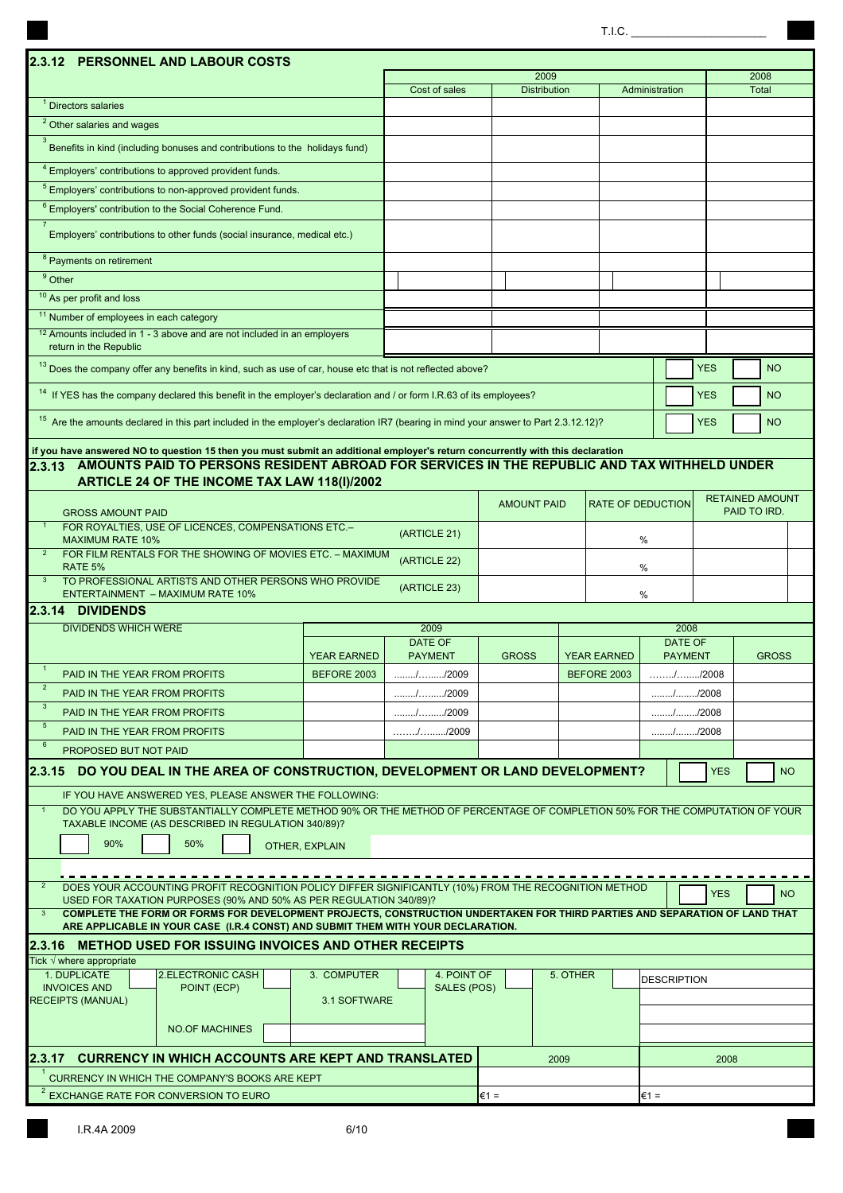$T.I.C.$ 

| 2.3.12 PERSONNEL AND LABOUR COSTS                                                                                                                                                                                                    |                    |                                                                 |                     |                    |                                                          |              |              |                        |  |
|--------------------------------------------------------------------------------------------------------------------------------------------------------------------------------------------------------------------------------------|--------------------|-----------------------------------------------------------------|---------------------|--------------------|----------------------------------------------------------|--------------|--------------|------------------------|--|
|                                                                                                                                                                                                                                      |                    |                                                                 | 2009                |                    |                                                          |              | 2008         |                        |  |
|                                                                                                                                                                                                                                      |                    | Cost of sales                                                   | <b>Distribution</b> |                    | Administration                                           |              | <b>Total</b> |                        |  |
| <sup>1</sup> Directors salaries                                                                                                                                                                                                      |                    |                                                                 |                     |                    |                                                          |              |              |                        |  |
| $\overline{2}$ Other salaries and wages<br>$\mathbf{3}$                                                                                                                                                                              |                    |                                                                 |                     |                    |                                                          |              |              |                        |  |
| Benefits in kind (including bonuses and contributions to the holidays fund)                                                                                                                                                          |                    |                                                                 |                     |                    |                                                          |              |              |                        |  |
| <sup>4</sup> Employers' contributions to approved provident funds.                                                                                                                                                                   |                    |                                                                 |                     |                    |                                                          |              |              |                        |  |
| <sup>5</sup> Employers' contributions to non-approved provident funds.                                                                                                                                                               |                    |                                                                 |                     |                    |                                                          |              |              |                        |  |
| <sup>6</sup> Employers' contribution to the Social Coherence Fund.                                                                                                                                                                   |                    |                                                                 |                     |                    |                                                          |              |              |                        |  |
| Employers' contributions to other funds (social insurance, medical etc.)                                                                                                                                                             |                    |                                                                 |                     |                    |                                                          |              |              |                        |  |
| <sup>8</sup> Payments on retirement                                                                                                                                                                                                  |                    |                                                                 |                     |                    |                                                          |              |              |                        |  |
| $9$ Other                                                                                                                                                                                                                            |                    |                                                                 |                     |                    |                                                          |              |              |                        |  |
| <sup>10</sup> As per profit and loss                                                                                                                                                                                                 |                    |                                                                 |                     |                    |                                                          |              |              |                        |  |
| <sup>11</sup> Number of employees in each category<br><sup>12</sup> Amounts included in 1 - 3 above and are not included in an employers                                                                                             |                    |                                                                 |                     |                    |                                                          |              |              |                        |  |
| return in the Republic                                                                                                                                                                                                               |                    |                                                                 |                     |                    |                                                          |              |              |                        |  |
| <sup>13</sup> Does the company offer any benefits in kind, such as use of car, house etc that is not reflected above?                                                                                                                |                    |                                                                 |                     |                    |                                                          | <b>YES</b>   |              | <b>NO</b>              |  |
| <sup>14</sup> If YES has the company declared this benefit in the employer's declaration and / or form I.R.63 of its employees?                                                                                                      |                    |                                                                 |                     |                    |                                                          | <b>YES</b>   |              | <b>NO</b>              |  |
| <sup>15</sup> Are the amounts declared in this part included in the employer's declaration IR7 (bearing in mind your answer to Part 2.3.12.12)?                                                                                      |                    |                                                                 |                     |                    |                                                          | <b>YES</b>   |              | <b>NO</b>              |  |
|                                                                                                                                                                                                                                      |                    |                                                                 |                     |                    |                                                          |              |              |                        |  |
| if you have answered NO to question 15 then you must submit an additional employer's return concurrently with this declaration<br>2.3.13 AMOUNTS PAID TO PERSONS RESIDENT ABROAD FOR SERVICES IN THE REPUBLIC AND TAX WITHHELD UNDER |                    |                                                                 |                     |                    |                                                          |              |              |                        |  |
| ARTICLE 24 OF THE INCOME TAX LAW 118(I)/2002                                                                                                                                                                                         |                    |                                                                 |                     |                    |                                                          |              |              |                        |  |
|                                                                                                                                                                                                                                      |                    |                                                                 |                     |                    |                                                          |              |              | <b>RETAINED AMOUNT</b> |  |
| <b>GROSS AMOUNT PAID</b>                                                                                                                                                                                                             |                    |                                                                 | <b>AMOUNT PAID</b>  |                    | <b>RATE OF DEDUCTION</b>                                 |              | PAID TO IRD. |                        |  |
| FOR ROYALTIES, USE OF LICENCES, COMPENSATIONS ETC.-<br><b>MAXIMUM RATE 10%</b>                                                                                                                                                       |                    | (ARTICLE 21)                                                    |                     |                    | %                                                        |              |              |                        |  |
| $\overline{2}$<br>FOR FILM RENTALS FOR THE SHOWING OF MOVIES ETC. - MAXIMUM                                                                                                                                                          |                    |                                                                 |                     |                    |                                                          |              |              |                        |  |
| (ARTICLE 22)<br>RATE 5%<br>%                                                                                                                                                                                                         |                    |                                                                 |                     |                    |                                                          |              |              |                        |  |
| TO PROFESSIONAL ARTISTS AND OTHER PERSONS WHO PROVIDE<br><b>ENTERTAINMENT - MAXIMUM RATE 10%</b>                                                                                                                                     |                    | (ARTICLE 23)                                                    |                     |                    | %                                                        |              |              |                        |  |
| 2.3.14 DIVIDENDS                                                                                                                                                                                                                     |                    |                                                                 |                     |                    |                                                          |              |              |                        |  |
| <b>DIVIDENDS WHICH WERE</b>                                                                                                                                                                                                          |                    | 2009                                                            |                     |                    | 2008                                                     |              |              |                        |  |
|                                                                                                                                                                                                                                      | <b>YEAR EARNED</b> | DATE OF<br><b>PAYMENT</b>                                       | <b>GROSS</b>        | <b>YEAR EARNED</b> | DATE OF<br><b>PAYMENT</b>                                | <b>GROSS</b> |              |                        |  |
| PAID IN THE YEAR FROM PROFITS                                                                                                                                                                                                        | BEFORE 2003        | //2009                                                          |                     | BEFORE 2003        | //2008                                                   |              |              |                        |  |
| $\overline{2}$<br>PAID IN THE YEAR FROM PROFITS                                                                                                                                                                                      |                    | //2009                                                          |                     |                    | //2008                                                   |              |              |                        |  |
| $\mathbf{3}$<br>PAID IN THE YEAR FROM PROFITS                                                                                                                                                                                        |                    | //2009                                                          |                     |                    | //2008                                                   |              |              |                        |  |
| $\sqrt{5}$<br>PAID IN THE YEAR FROM PROFITS                                                                                                                                                                                          |                    | $\ldots \ldots \ldots \ldots \ldots \ldots \ldots \ldots$ /2009 |                     |                    | $\ldots \ldots \ldots \ldots \ldots \ldots \ldots$ /2008 |              |              |                        |  |
| 6<br>PROPOSED BUT NOT PAID                                                                                                                                                                                                           |                    |                                                                 |                     |                    |                                                          |              |              |                        |  |
| 2.3.15 DO YOU DEAL IN THE AREA OF CONSTRUCTION, DEVELOPMENT OR LAND DEVELOPMENT?                                                                                                                                                     |                    |                                                                 |                     |                    |                                                          | <b>YES</b>   |              | <b>NO</b>              |  |
| IF YOU HAVE ANSWERED YES, PLEASE ANSWER THE FOLLOWING:                                                                                                                                                                               |                    |                                                                 |                     |                    |                                                          |              |              |                        |  |
| DO YOU APPLY THE SUBSTANTIALLY COMPLETE METHOD 90% OR THE METHOD OF PERCENTAGE OF COMPLETION 50% FOR THE COMPUTATION OF YOUR                                                                                                         |                    |                                                                 |                     |                    |                                                          |              |              |                        |  |
| TAXABLE INCOME (AS DESCRIBED IN REGULATION 340/89)?                                                                                                                                                                                  |                    |                                                                 |                     |                    |                                                          |              |              |                        |  |
| 90%<br>50%                                                                                                                                                                                                                           | OTHER, EXPLAIN     |                                                                 |                     |                    |                                                          |              |              |                        |  |
|                                                                                                                                                                                                                                      |                    |                                                                 |                     |                    |                                                          |              |              |                        |  |
| DOES YOUR ACCOUNTING PROFIT RECOGNITION POLICY DIFFER SIGNIFICANTLY (10%) FROM THE RECOGNITION METHOD                                                                                                                                |                    |                                                                 |                     |                    |                                                          | <b>YES</b>   |              | <b>NO</b>              |  |
| USED FOR TAXATION PURPOSES (90% AND 50% AS PER REGULATION 340/89)?<br>COMPLETE THE FORM OR FORMS FOR DEVELOPMENT PROJECTS, CONSTRUCTION UNDERTAKEN FOR THIRD PARTIES AND SEPARATION OF LAND THAT<br>$\mathbf{3}$                     |                    |                                                                 |                     |                    |                                                          |              |              |                        |  |
| ARE APPLICABLE IN YOUR CASE (I.R.4 CONST) AND SUBMIT THEM WITH YOUR DECLARATION.                                                                                                                                                     |                    |                                                                 |                     |                    |                                                          |              |              |                        |  |
| I2.3.16 METHOD USED FOR ISSUING INVOICES AND OTHER RECEIPTS                                                                                                                                                                          |                    |                                                                 |                     |                    |                                                          |              |              |                        |  |
| Tick $\sqrt{}$ where appropriate                                                                                                                                                                                                     |                    |                                                                 |                     |                    |                                                          |              |              |                        |  |
| 1. DUPLICATE<br>2.ELECTRONIC CASH<br><b>INVOICES AND</b><br>POINT (ECP)                                                                                                                                                              | 3. COMPUTER        | 4. POINT OF<br>SALES (POS)                                      |                     | 5. OTHER           | <b>DESCRIPTION</b>                                       |              |              |                        |  |
| <b>RECEIPTS (MANUAL)</b><br>3.1 SOFTWARE                                                                                                                                                                                             |                    |                                                                 |                     |                    |                                                          |              |              |                        |  |
| <b>NO.OF MACHINES</b>                                                                                                                                                                                                                |                    |                                                                 |                     |                    |                                                          |              |              |                        |  |
|                                                                                                                                                                                                                                      |                    |                                                                 |                     |                    |                                                          |              |              |                        |  |
| <b>CURRENCY IN WHICH ACCOUNTS ARE KEPT AND TRANSLATED</b><br>l2.3.17                                                                                                                                                                 |                    |                                                                 |                     | 2009               |                                                          | 2008         |              |                        |  |
| CURRENCY IN WHICH THE COMPANY'S BOOKS ARE KEPT                                                                                                                                                                                       |                    |                                                                 |                     |                    |                                                          |              |              |                        |  |
| EXCHANGE RATE FOR CONVERSION TO EURO                                                                                                                                                                                                 |                    |                                                                 | $€1 =$              |                    | €1 =                                                     |              |              |                        |  |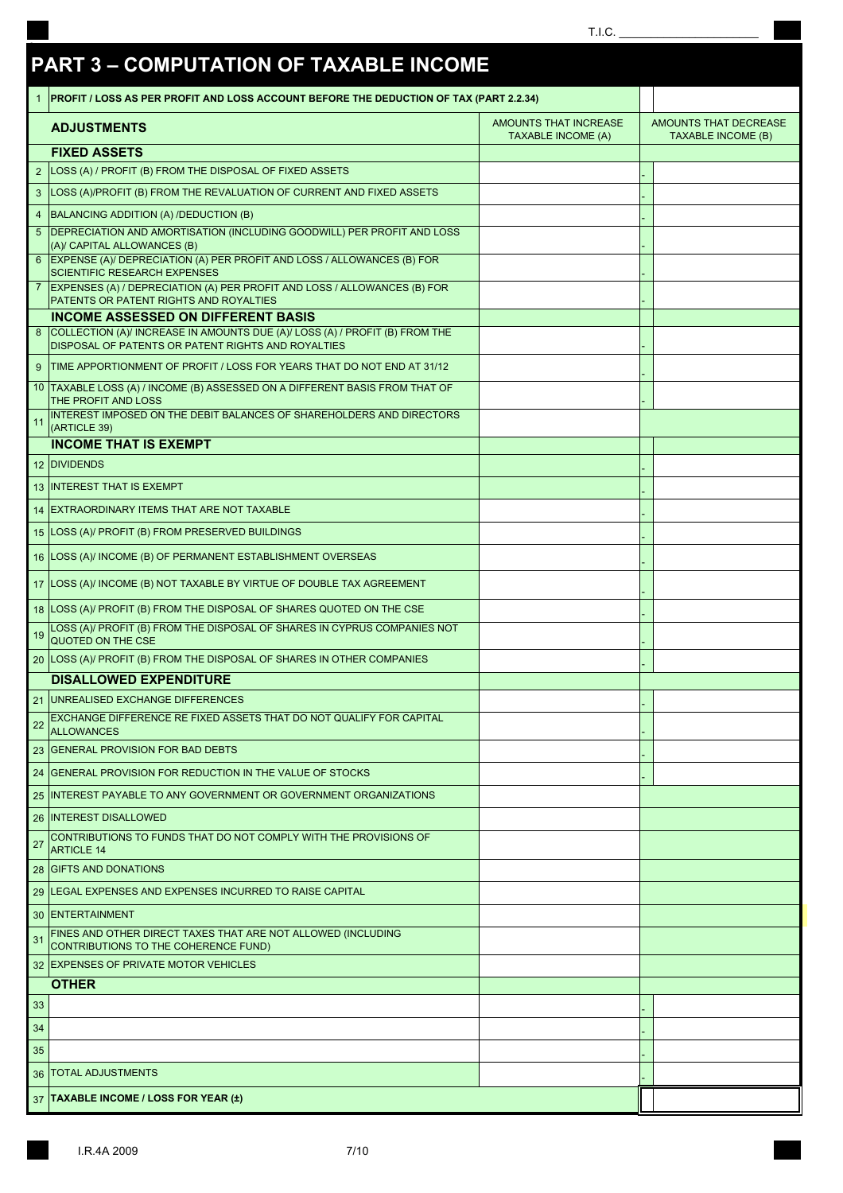|                |                                                                                                                      | T.I.C.                                             |                                                    |
|----------------|----------------------------------------------------------------------------------------------------------------------|----------------------------------------------------|----------------------------------------------------|
|                | <b>PART 3 - COMPUTATION OF TAXABLE INCOME</b>                                                                        |                                                    |                                                    |
|                | PROFIT / LOSS AS PER PROFIT AND LOSS ACCOUNT BEFORE THE DEDUCTION OF TAX (PART 2.2.34)                               |                                                    |                                                    |
|                | <b>ADJUSTMENTS</b>                                                                                                   | AMOUNTS THAT INCREASE<br><b>TAXABLE INCOME (A)</b> | AMOUNTS THAT DECREASE<br><b>TAXABLE INCOME (B)</b> |
|                | <b>FIXED ASSETS</b>                                                                                                  |                                                    |                                                    |
| 2 <sup>2</sup> | LOSS (A) / PROFIT (B) FROM THE DISPOSAL OF FIXED ASSETS                                                              |                                                    |                                                    |
| 3              | LOSS (A)/PROFIT (B) FROM THE REVALUATION OF CURRENT AND FIXED ASSETS                                                 |                                                    |                                                    |
|                | BALANCING ADDITION (A) /DEDUCTION (B)                                                                                |                                                    |                                                    |
|                | 5   DEPRECIATION AND AMORTISATION (INCLUDING GOODWILL) PER PROFIT AND LOSS                                           |                                                    |                                                    |
|                | (A)/ CAPITAL ALLOWANCES (B)<br>6 EXPENSE (A)/ DEPRECIATION (A) PER PROFIT AND LOSS / ALLOWANCES (B) FOR              |                                                    |                                                    |
|                | <b>SCIENTIFIC RESEARCH EXPENSES</b>                                                                                  |                                                    |                                                    |
|                | 7 EXPENSES (A) / DEPRECIATION (A) PER PROFIT AND LOSS / ALLOWANCES (B) FOR<br>PATENTS OR PATENT RIGHTS AND ROYALTIES |                                                    |                                                    |
|                | <b>INCOME ASSESSED ON DIFFERENT BASIS</b>                                                                            |                                                    |                                                    |
|                | 8 COLLECTION (A)/ INCREASE IN AMOUNTS DUE (A)/ LOSS (A) / PROFIT (B) FROM THE                                        |                                                    |                                                    |
|                | DISPOSAL OF PATENTS OR PATENT RIGHTS AND ROYALTIES                                                                   |                                                    |                                                    |
|                | 9 TIME APPORTIONMENT OF PROFIT / LOSS FOR YEARS THAT DO NOT END AT 31/12                                             |                                                    |                                                    |
|                | 10 TAXABLE LOSS (A) / INCOME (B) ASSESSED ON A DIFFERENT BASIS FROM THAT OF<br>THE PROFIT AND LOSS                   |                                                    |                                                    |
| 11             | INTEREST IMPOSED ON THE DEBIT BALANCES OF SHAREHOLDERS AND DIRECTORS                                                 |                                                    |                                                    |
|                | (ARTICLE 39)<br><b>INCOME THAT IS EXEMPT</b>                                                                         |                                                    |                                                    |
|                | 12 DIVIDENDS                                                                                                         |                                                    |                                                    |
|                | 13 INTEREST THAT IS EXEMPT                                                                                           |                                                    |                                                    |
|                |                                                                                                                      |                                                    |                                                    |
|                | 14 EXTRAORDINARY ITEMS THAT ARE NOT TAXABLE                                                                          |                                                    |                                                    |
|                | 15 LOSS (A)/ PROFIT (B) FROM PRESERVED BUILDINGS                                                                     |                                                    |                                                    |
|                | 16 LOSS (A)/ INCOME (B) OF PERMANENT ESTABLISHMENT OVERSEAS                                                          |                                                    |                                                    |
|                | 17 LOSS (A)/ INCOME (B) NOT TAXABLE BY VIRTUE OF DOUBLE TAX AGREEMENT                                                |                                                    |                                                    |
|                | 18 LOSS (A)/ PROFIT (B) FROM THE DISPOSAL OF SHARES QUOTED ON THE CSE                                                |                                                    |                                                    |
| 19             | LOSS (A)/ PROFIT (B) FROM THE DISPOSAL OF SHARES IN CYPRUS COMPANIES NOT<br>QUOTED ON THE CSE                        |                                                    |                                                    |
|                | 20 LOSS (A)/ PROFIT (B) FROM THE DISPOSAL OF SHARES IN OTHER COMPANIES                                               |                                                    |                                                    |
|                | <b>DISALLOWED EXPENDITURE</b>                                                                                        |                                                    |                                                    |
|                | 21 UNREALISED EXCHANGE DIFFERENCES                                                                                   |                                                    |                                                    |
|                | EXCHANGE DIFFERENCE RE FIXED ASSETS THAT DO NOT QUALIFY FOR CAPITAL<br><b>ALLOWANCES</b>                             |                                                    |                                                    |
|                | 23 GENERAL PROVISION FOR BAD DEBTS                                                                                   |                                                    |                                                    |
|                | 24 GENERAL PROVISION FOR REDUCTION IN THE VALUE OF STOCKS                                                            |                                                    |                                                    |
|                | 25 INTEREST PAYABLE TO ANY GOVERNMENT OR GOVERNMENT ORGANIZATIONS                                                    |                                                    |                                                    |
|                | 26 INTEREST DISALLOWED                                                                                               |                                                    |                                                    |
| 27             | CONTRIBUTIONS TO FUNDS THAT DO NOT COMPLY WITH THE PROVISIONS OF                                                     |                                                    |                                                    |
|                | <b>ARTICLE 14</b><br>28 GIFTS AND DONATIONS                                                                          |                                                    |                                                    |
|                |                                                                                                                      |                                                    |                                                    |
|                | 29 ILEGAL EXPENSES AND EXPENSES INCURRED TO RAISE CAPITAL                                                            |                                                    |                                                    |
|                | 30 ENTERTAINMENT                                                                                                     |                                                    |                                                    |
| 31             | FINES AND OTHER DIRECT TAXES THAT ARE NOT ALLOWED (INCLUDING<br>CONTRIBUTIONS TO THE COHERENCE FUND)                 |                                                    |                                                    |
|                | 32 EXPENSES OF PRIVATE MOTOR VEHICLES                                                                                |                                                    |                                                    |
|                | <b>OTHER</b>                                                                                                         |                                                    |                                                    |
| 33             |                                                                                                                      |                                                    |                                                    |
| 34             |                                                                                                                      |                                                    |                                                    |
| 35             |                                                                                                                      |                                                    |                                                    |
|                | <b>36   TOTAL ADJUSTMENTS</b>                                                                                        |                                                    |                                                    |
|                | 37 TAXABLE INCOME / LOSS FOR YEAR (±)                                                                                |                                                    |                                                    |

 $\overline{\phantom{a}}$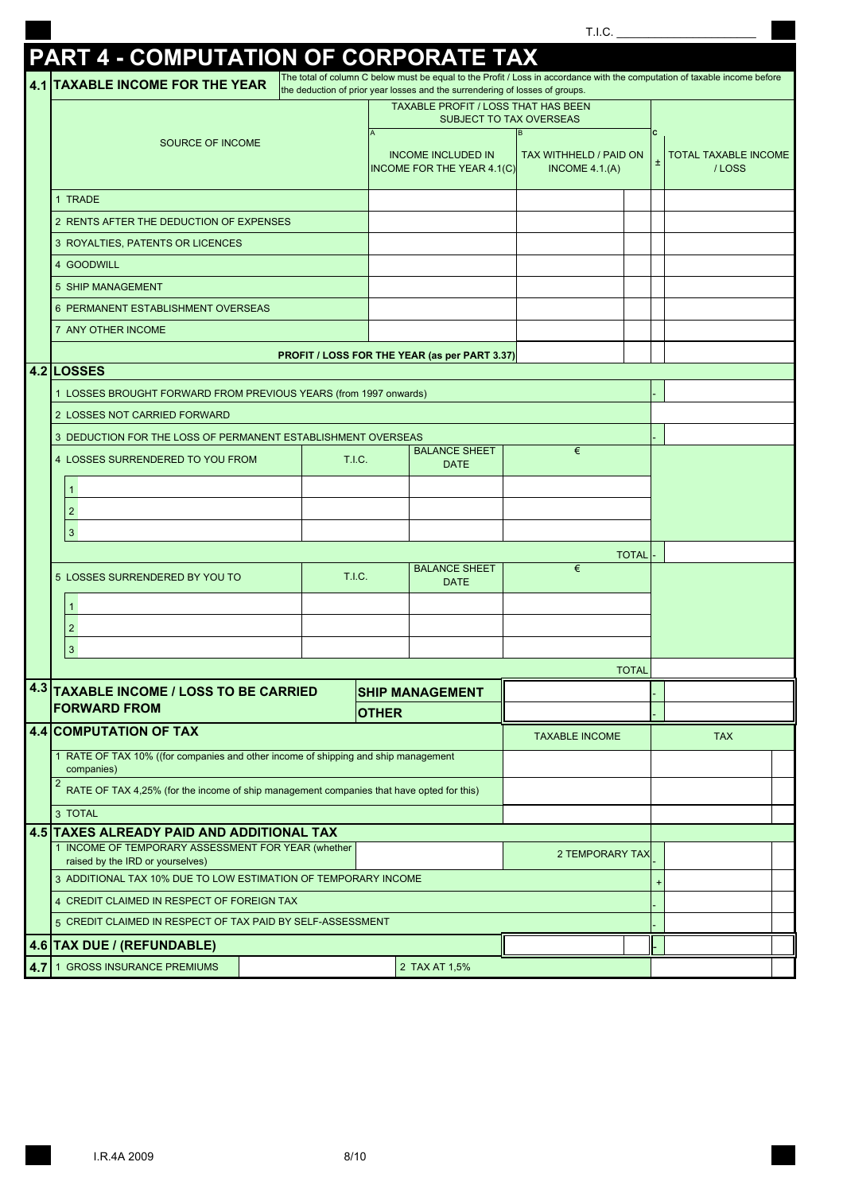| <b>TIA</b> | 1.1.0.<br>_____ |  |  |  |  |
|------------|-----------------|--|--|--|--|
|            |                 |  |  |  |  |

#### **4.1 TAXABLE INCOME FOR THE YEAR** ± 1 TRADE 2 RENTS AFTER THE DEDUCTION OF EXPENSES 3 ROYALTIES, PATENTS OR LICENCES 4 GOODWILL 5 SHIP MANAGEMENT 6 PERMANENT ESTABLISHMENT OVERSEAS 7 ANY OTHER INCOME **4.2 LOSSES** 1 LOSSES BROUGHT FORWARD FROM PREVIOUS YEARS (from 1997 onwards) 2 LOSSES NOT CARRIED FORWARD 3 DEDUCTION FOR THE LOSS OF PERMANENT ESTABLISHMENT OVERSEAS 4 LOSSES SURRENDERED TO YOU FROM 1 2 3 **TOTAL** 5 LOSSES SURRENDERED BY YOU TO 1 2 3 **TOTAL** - - **4.4 COMPUTATION OF TAX** 1 RATE OF TAX 10% ((for companies and other income of shipping and ship management 2 3 TOTAL **4.5 TAXES ALREADY PAID AND ADDITIONAL TAX**1 INCOME OF TEMPORARY ASSESSMENT FOR YEAR (whether - 3 + ADDITIONAL TAX 10% DUE TO LOW ESTIMATION OF TEMPORARY INCOME 4 - CREDIT CLAIMED IN RESPECT OF FOREIGN TAX **Andre International Control Control Control** 5 - CREDIT CLAIMED IN RESPECT OF TAX PAID BY SELF-ASSESSMENT **4.6 TAX DUE / (REFUNDABLE)** - 1 GROSS INSURANCE PREMIUMS **2 TAX AT 1,5%** T.I.C. BALANCE SHEET DATE € companies) RATE OF TAX 4,25% (for the income of ship management companies that have opted for this) **PROFIT / LOSS FOR THE YEAR (as per PART 3.37)** INCOME OF TEMPORARY ASSESSMENT FOR TEAR (WILD BE A SECOND FOR A SECOND FOR A SECOND FOR A SECOND FOR A SECOND TAX BALANCE SHEET DATE **4.3 TAXABLE INCOME / LOSS TO BE CARRIED**  T.I.C. **PART 4 - COMPUTATION OF CORPORAT** The total of column C below must be equal to the Profit / Loss in accordance with the computation of taxable income before the deduction of prior year losses and the surrendering of losses of groups. SOURCE OF INCOME **C**  TAXABLE PROFIT / LOSS THAT HAS BEEN SUBJECT TO TAX OVERSEAS INCOME INCLUDED IN INCOME FOR THE YEAR 4.1(C) Α Β TAXABLE INCOME **TAX SHIP MANAGEMENT OTHER FORWARD FROM** TOTAL TAXABLE INCOME / LOSS TAX WITHHELD / PAID ON INCOME 4.1.(Α) €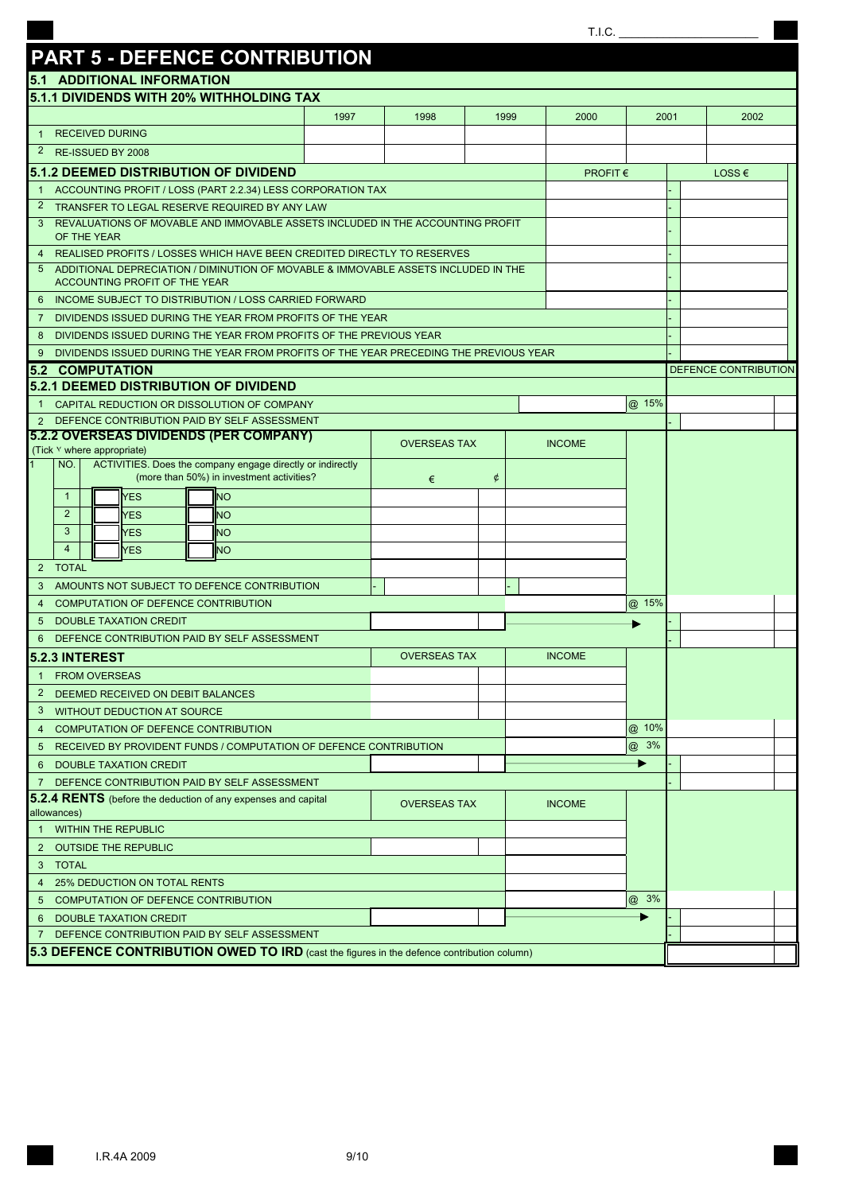### T.I.C.  $\_$

# **PART 5 - DEFENCE CONTRIBUTION**

| <b>5.1 ADDITIONAL INFORMATION</b>                                                                              |      |                     |      |                                     |       |        |                      |  |  |
|----------------------------------------------------------------------------------------------------------------|------|---------------------|------|-------------------------------------|-------|--------|----------------------|--|--|
| 5.1.1 DIVIDENDS WITH 20% WITHHOLDING TAX                                                                       |      |                     |      |                                     |       |        |                      |  |  |
|                                                                                                                | 1997 | 1998                | 1999 | 2000                                |       | 2001   | 2002                 |  |  |
| <b>RECEIVED DURING</b><br>$\overline{1}$                                                                       |      |                     |      |                                     |       |        |                      |  |  |
| $\overline{2}$<br>RE-ISSUED BY 2008                                                                            |      |                     |      |                                     |       |        |                      |  |  |
| <b>5.1.2 DEEMED DISTRIBUTION OF DIVIDEND</b>                                                                   |      |                     |      | <b>PROFIT <math>\epsilon</math></b> |       | LOSS € |                      |  |  |
| ACCOUNTING PROFIT / LOSS (PART 2.2.34) LESS CORPORATION TAX<br>$\mathbf{1}$                                    |      |                     |      |                                     |       |        |                      |  |  |
| $\overline{2}$<br>TRANSFER TO LEGAL RESERVE REQUIRED BY ANY LAW                                                |      |                     |      |                                     |       |        |                      |  |  |
| REVALUATIONS OF MOVABLE AND IMMOVABLE ASSETS INCLUDED IN THE ACCOUNTING PROFIT<br>3<br>OF THE YEAR             |      |                     |      |                                     |       |        |                      |  |  |
| REALISED PROFITS / LOSSES WHICH HAVE BEEN CREDITED DIRECTLY TO RESERVES<br>4                                   |      |                     |      |                                     |       |        |                      |  |  |
| ADDITIONAL DEPRECIATION / DIMINUTION OF MOVABLE & IMMOVABLE ASSETS INCLUDED IN THE<br>5                        |      |                     |      |                                     |       |        |                      |  |  |
| ACCOUNTING PROFIT OF THE YEAR                                                                                  |      |                     |      |                                     |       |        |                      |  |  |
| INCOME SUBJECT TO DISTRIBUTION / LOSS CARRIED FORWARD<br>6                                                     |      |                     |      |                                     |       |        |                      |  |  |
| DIVIDENDS ISSUED DURING THE YEAR FROM PROFITS OF THE YEAR<br>7                                                 |      |                     |      |                                     |       |        |                      |  |  |
| DIVIDENDS ISSUED DURING THE YEAR FROM PROFITS OF THE PREVIOUS YEAR<br>8                                        |      |                     |      |                                     |       |        |                      |  |  |
| DIVIDENDS ISSUED DURING THE YEAR FROM PROFITS OF THE YEAR PRECEDING THE PREVIOUS YEAR<br>9                     |      |                     |      |                                     |       |        |                      |  |  |
| <b>5.2 COMPUTATION</b>                                                                                         |      |                     |      |                                     |       |        | DEFENCE CONTRIBUTION |  |  |
| <b>5.2.1 DEEMED DISTRIBUTION OF DIVIDEND</b>                                                                   |      |                     |      |                                     |       |        |                      |  |  |
| CAPITAL REDUCTION OR DISSOLUTION OF COMPANY<br>$\mathbf{1}$<br>DEFENCE CONTRIBUTION PAID BY SELF ASSESSMENT    |      |                     |      |                                     | @ 15% |        |                      |  |  |
| 2<br><b>5.2.2 OVERSEAS DIVIDENDS (PER COMPANY)</b>                                                             |      |                     |      |                                     |       |        |                      |  |  |
| (Tick Y where appropriate)                                                                                     |      | <b>OVERSEAS TAX</b> |      | <b>INCOME</b>                       |       |        |                      |  |  |
| ACTIVITIES. Does the company engage directly or indirectly<br>NO.<br>(more than 50%) in investment activities? |      | €                   | ¢    |                                     |       |        |                      |  |  |
| <b>YES</b><br><b>NO</b><br>$\mathbf{1}$                                                                        |      |                     |      |                                     |       |        |                      |  |  |
| 2<br><b>YES</b><br><b>NO</b>                                                                                   |      |                     |      |                                     |       |        |                      |  |  |
| 3<br><b>YES</b><br><b>NO</b>                                                                                   |      |                     |      |                                     |       |        |                      |  |  |
| $\overline{4}$<br><b>YES</b><br><b>NO</b>                                                                      |      |                     |      |                                     |       |        |                      |  |  |
| <b>TOTAL</b><br>2                                                                                              |      |                     |      |                                     |       |        |                      |  |  |
| AMOUNTS NOT SUBJECT TO DEFENCE CONTRIBUTION<br>3                                                               |      |                     |      |                                     |       |        |                      |  |  |
| <b>COMPUTATION OF DEFENCE CONTRIBUTION</b><br>$\overline{4}$                                                   |      |                     |      |                                     | @ 15% |        |                      |  |  |
| <b>DOUBLE TAXATION CREDIT</b><br>5                                                                             |      |                     |      |                                     |       |        |                      |  |  |
| DEFENCE CONTRIBUTION PAID BY SELF ASSESSMENT<br>6                                                              |      |                     |      |                                     |       |        |                      |  |  |
| <b>5.2.3 INTEREST</b>                                                                                          |      | <b>OVERSEAS TAX</b> |      | <b>INCOME</b>                       |       |        |                      |  |  |
| <b>FROM OVERSEAS</b><br>$\mathbf 1$                                                                            |      |                     |      |                                     |       |        |                      |  |  |
| 2<br>DEEMED RECEIVED ON DEBIT BALANCES                                                                         |      |                     |      |                                     |       |        |                      |  |  |
| $\mathfrak{S}$<br><b>WITHOUT DEDUCTION AT SOURCE</b>                                                           |      |                     |      |                                     |       |        |                      |  |  |
| COMPUTATION OF DEFENCE CONTRIBUTION                                                                            |      |                     |      |                                     | @ 10% |        |                      |  |  |
| RECEIVED BY PROVIDENT FUNDS / COMPUTATION OF DEFENCE CONTRIBUTION<br>5                                         |      |                     |      |                                     | @ 3%  |        |                      |  |  |
| <b>DOUBLE TAXATION CREDIT</b><br>6                                                                             |      |                     |      |                                     | ▶     |        |                      |  |  |
| DEFENCE CONTRIBUTION PAID BY SELF ASSESSMENT<br>7                                                              |      |                     |      |                                     |       |        |                      |  |  |
| 5.2.4 RENTS (before the deduction of any expenses and capital                                                  |      | <b>OVERSEAS TAX</b> |      | <b>INCOME</b>                       |       |        |                      |  |  |
| allowances)                                                                                                    |      |                     |      |                                     |       |        |                      |  |  |
| <b>WITHIN THE REPUBLIC</b><br>$\mathbf{1}$                                                                     |      |                     |      |                                     |       |        |                      |  |  |
| <b>OUTSIDE THE REPUBLIC</b><br>2                                                                               |      |                     |      |                                     |       |        |                      |  |  |
| 3<br>TOTAL                                                                                                     |      |                     |      |                                     |       |        |                      |  |  |
| 25% DEDUCTION ON TOTAL RENTS<br>4                                                                              |      |                     |      |                                     |       |        |                      |  |  |
| <b>COMPUTATION OF DEFENCE CONTRIBUTION</b><br>5                                                                |      |                     |      | @ 3%                                |       |        |                      |  |  |
| DOUBLE TAXATION CREDIT<br>6                                                                                    |      |                     |      |                                     |       |        |                      |  |  |
| 7 DEFENCE CONTRIBUTION PAID BY SELF ASSESSMENT                                                                 |      |                     |      |                                     |       |        |                      |  |  |
| 5.3 DEFENCE CONTRIBUTION OWED TO IRD (cast the figures in the defence contribution column)                     |      |                     |      |                                     |       |        |                      |  |  |
|                                                                                                                |      |                     |      |                                     |       |        |                      |  |  |